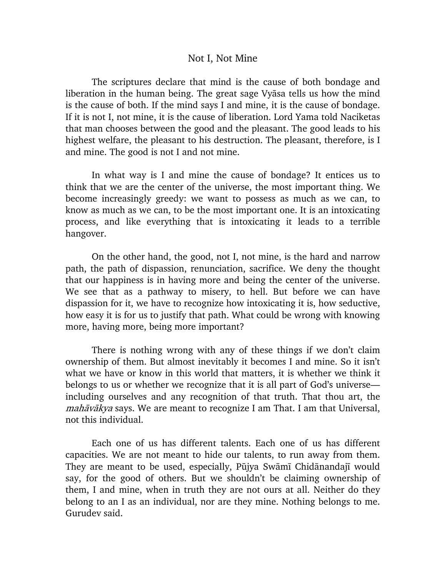## Not I, Not Mine

The scriptures declare that mind is the cause of both bondage and liberation in the human being. The great sage Vyasa tells us how the mind is the cause of both. If the mind says I and mine, it is the cause of bondage. If it is not I, not mine, it is the cause of liberation. Lord Yama told Naciketas that man chooses between the good and the pleasant. The good leads to his highest welfare, the pleasant to his destruction. The pleasant, therefore, is I and mine. The good is not I and not mine.

In what way is I and mine the cause of bondage? It entices us to think that we are the center of the universe, the most important thing. We become increasingly greedy: we want to possess as much as we can, to know as much as we can, to be the most important one. It is an intoxicating process, and like everything that is intoxicating it leads to a terrible hangover.

On the other hand, the good, not I, not mine, is the hard and narrow path, the path of dispassion, renunciation, sacrifice. We deny the thought that our happiness is in having more and being the center of the universe. We see that as a pathway to misery, to hell. But before we can have dispassion for it, we have to recognize how intoxicating it is, how seductive, how easy it is for us to justify that path. What could be wrong with knowing more, having more, being more important?

There is nothing wrong with any of these things if we don't claim ownership of them. But almost inevitably it becomes I and mine. So it isn't what we have or know in this world that matters, it is whether we think it belongs to us or whether we recognize that it is all part of God's universe including ourselves and any recognition of that truth. That thou art, the *mahāvākya* says. We are meant to recognize I am That. I am that Universal, not this individual.

Each one of us has different talents. Each one of us has different capacities. We are not meant to hide our talents, to run away from them. They are meant to be used, especially, Pūjya Swāmī Chidānandajī would say, for the good of others. But we shouldn't be claiming ownership of them, I and mine, when in truth they are not ours at all. Neither do they belong to an I as an individual, nor are they mine. Nothing belongs to me. Gurudev said.